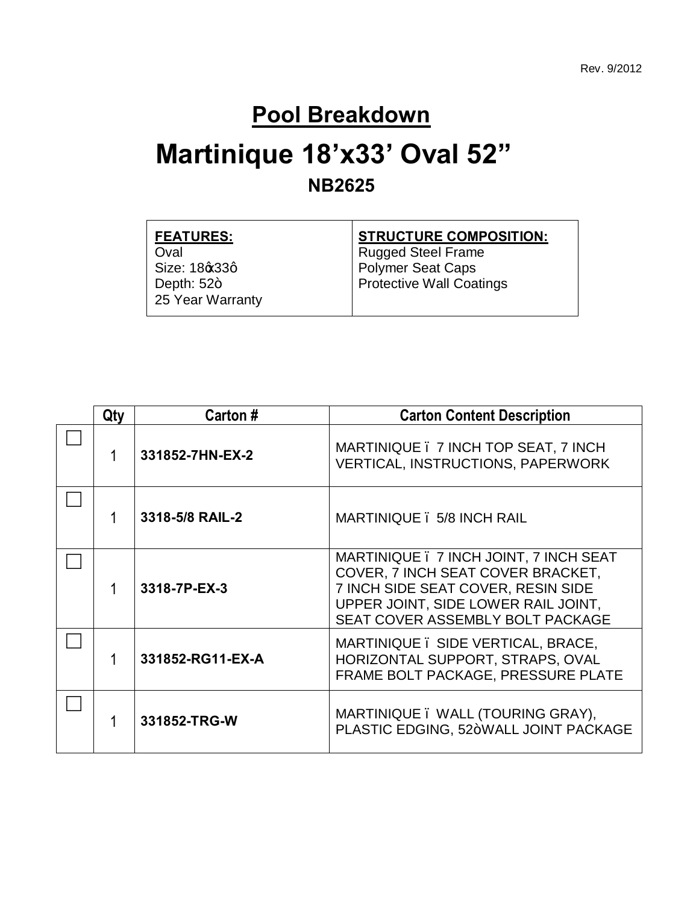#### **Pool Breakdown**

## **Martinique 18'x33' Oval 52" NB2625**

| <b>FEATURES:</b> | <b>STRUCTURE COMPOSITION:</b> |
|------------------|-------------------------------|
| Oval             | <b>Rugged Steel Frame</b>     |
| Size: 18¢33q     | <b>Polymer Seat Caps</b>      |
| Depth: $52+$     | Protective Wall Coatings      |
| 25 Year Warranty |                               |
|                  |                               |

| Qty | Carton #                                      | <b>Carton Content Description</b>                                                                                                                                                            |  |  |
|-----|-----------------------------------------------|----------------------------------------------------------------------------------------------------------------------------------------------------------------------------------------------|--|--|
|     | 331852-7HN-EX-2                               | MARTINIQUE . 7 INCH TOP SEAT, 7 INCH<br><b>VERTICAL, INSTRUCTIONS, PAPERWORK</b>                                                                                                             |  |  |
|     | 3318-5/8 RAIL-2<br>MARTINIQUE . 5/8 INCH RAIL |                                                                                                                                                                                              |  |  |
|     | 3318-7P-EX-3                                  | MARTINIQUE . 7 INCH JOINT, 7 INCH SEAT<br>COVER, 7 INCH SEAT COVER BRACKET,<br>7 INCH SIDE SEAT COVER, RESIN SIDE<br>UPPER JOINT, SIDE LOWER RAIL JOINT,<br>SEAT COVER ASSEMBLY BOLT PACKAGE |  |  |
|     | 331852-RG11-EX-A                              | MARTINIQUE. SIDE VERTICAL, BRACE,<br>HORIZONTAL SUPPORT, STRAPS, OVAL<br>FRAME BOLT PACKAGE, PRESSURE PLATE                                                                                  |  |  |
|     | 331852-TRG-W                                  | MARTINIQUE. WALL (TOURING GRAY),<br>PLASTIC EDGING, 52+WALL JOINT PACKAGE                                                                                                                    |  |  |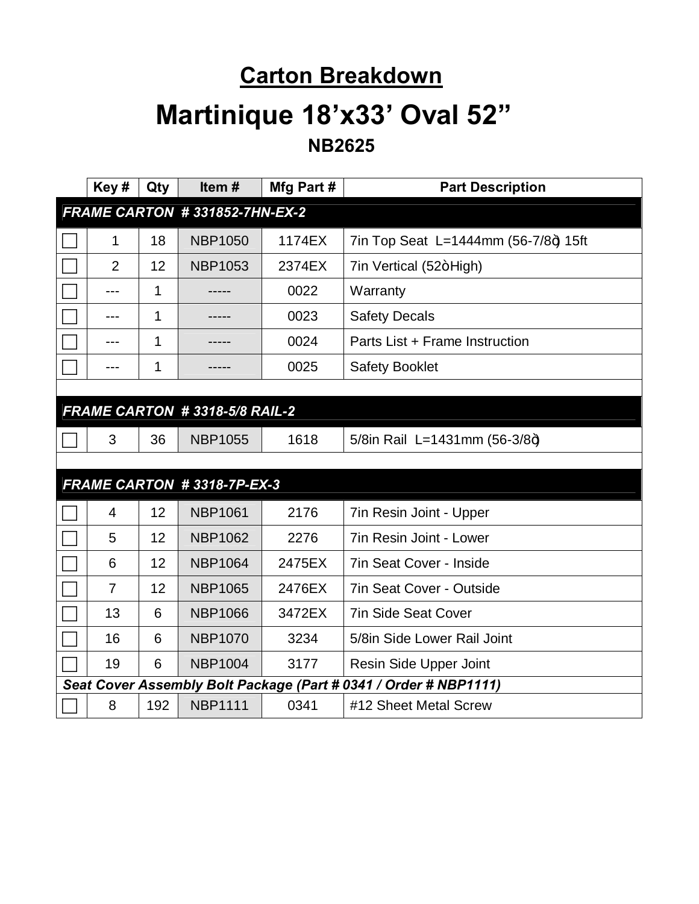#### **Carton Breakdown**

### **Martinique 18'x33' Oval 52" NB2625**

|                               | Key#           | Qty | Item#                         | Mfg Part# | <b>Part Description</b>                                          |
|-------------------------------|----------------|-----|-------------------------------|-----------|------------------------------------------------------------------|
| FRAME CARTON #331852-7HN-EX-2 |                |     |                               |           |                                                                  |
|                               | 1              | 18  | <b>NBP1050</b>                | 1174EX    | 7in Top Seat L=1444mm (56-7/8+) 15ft                             |
|                               | $\overline{2}$ | 12  | <b>NBP1053</b>                | 2374EX    | 7in Vertical (52+High)                                           |
|                               | $---$          | 1   |                               | 0022      | Warranty                                                         |
|                               | ---            | 1   |                               | 0023      | <b>Safety Decals</b>                                             |
|                               | ---            | 1   |                               | 0024      | Parts List + Frame Instruction                                   |
|                               | ---            | 1   |                               | 0025      | <b>Safety Booklet</b>                                            |
|                               |                |     |                               |           |                                                                  |
|                               |                |     | FRAME CARTON #3318-5/8 RAIL-2 |           |                                                                  |
|                               | 3              | 36  | <b>NBP1055</b>                | 1618      | 5/8in Rail L=1431mm (56-3/8+)                                    |
|                               |                |     |                               |           |                                                                  |
|                               |                |     | FRAME CARTON #3318-7P-EX-3    |           |                                                                  |
|                               | 4              | 12  | <b>NBP1061</b>                | 2176      | 7in Resin Joint - Upper                                          |
|                               | 5              | 12  | <b>NBP1062</b>                | 2276      | 7in Resin Joint - Lower                                          |
|                               | 6              | 12  | <b>NBP1064</b>                | 2475EX    | <b>7in Seat Cover - Inside</b>                                   |
|                               | $\overline{7}$ | 12  | <b>NBP1065</b>                | 2476EX    | <b>7in Seat Cover - Outside</b>                                  |
|                               | 13             | 6   | <b>NBP1066</b>                | 3472EX    | <b>7in Side Seat Cover</b>                                       |
|                               | 16             | 6   | <b>NBP1070</b>                | 3234      | 5/8in Side Lower Rail Joint                                      |
|                               | 19             | 6   | <b>NBP1004</b>                | 3177      | Resin Side Upper Joint                                           |
|                               |                |     |                               |           | Seat Cover Assembly Bolt Package (Part # 0341 / Order # NBP1111) |
|                               | 8              | 192 | <b>NBP1111</b>                | 0341      | #12 Sheet Metal Screw                                            |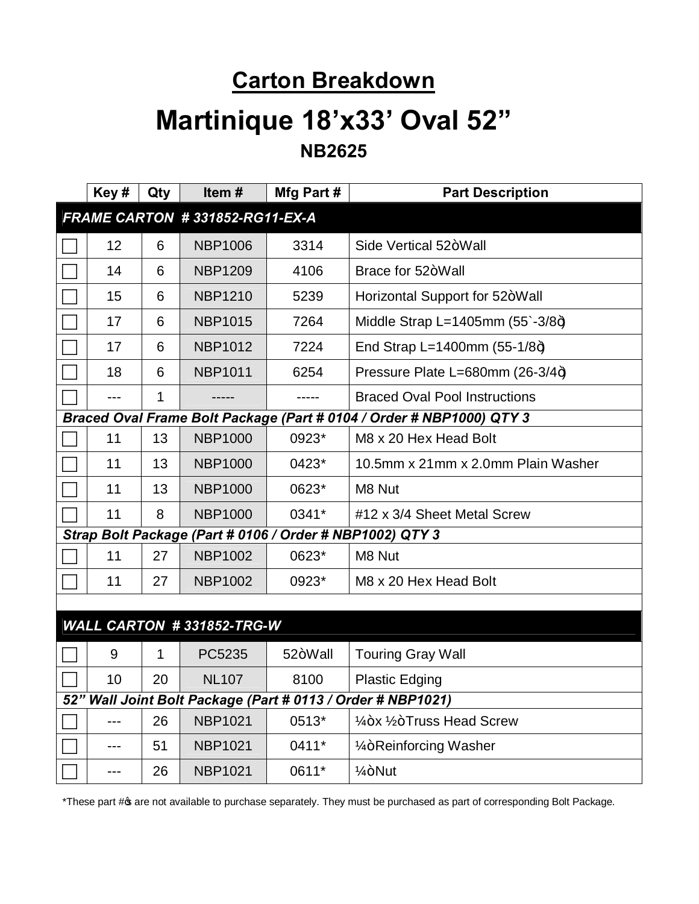# **Carton Breakdown Martinique 18'x33' Oval 52" NB2625**

| Key#                                                        | Qty | Item#                          | Mfg Part # | <b>Part Description</b>                                              |
|-------------------------------------------------------------|-----|--------------------------------|------------|----------------------------------------------------------------------|
|                                                             |     | FRAME CARTON #331852-RG11-EX-A |            |                                                                      |
| 12                                                          | 6   | <b>NBP1006</b>                 | 3314       | Side Vertical 52+Wall                                                |
| 14                                                          | 6   | <b>NBP1209</b>                 | 4106       | Brace for 52+Wall                                                    |
| 15                                                          | 6   | <b>NBP1210</b>                 | 5239       | Horizontal Support for 52+Wall                                       |
| 17                                                          | 6   | <b>NBP1015</b>                 | 7264       | Middle Strap L=1405mm $(55 - 3/8 + )$                                |
| 17                                                          | 6   | <b>NBP1012</b>                 | 7224       | End Strap L=1400mm $(55-1/8+)$                                       |
| 18                                                          | 6   | <b>NBP1011</b>                 | 6254       | Pressure Plate L=680mm (26-3/4+)                                     |
|                                                             | 1   |                                |            | <b>Braced Oval Pool Instructions</b>                                 |
|                                                             |     |                                |            | Braced Oval Frame Bolt Package (Part # 0104 / Order # NBP1000) QTY 3 |
| 11                                                          | 13  | <b>NBP1000</b>                 | 0923*      | M8 x 20 Hex Head Bolt                                                |
| 11                                                          | 13  | <b>NBP1000</b>                 | 0423*      | 10.5mm x 21mm x 2.0mm Plain Washer                                   |
| 11                                                          | 13  | <b>NBP1000</b>                 | 0623*      | M8 Nut                                                               |
| 11                                                          | 8   | <b>NBP1000</b>                 | 0341*      | #12 x 3/4 Sheet Metal Screw                                          |
| Strap Bolt Package (Part # 0106 / Order # NBP1002) QTY 3    |     |                                |            |                                                                      |
| 11                                                          | 27  | <b>NBP1002</b>                 | 0623*      | M8 Nut                                                               |
| 11                                                          | 27  | <b>NBP1002</b>                 | 0923*      | M8 x 20 Hex Head Bolt                                                |
|                                                             |     |                                |            |                                                                      |
|                                                             |     | WALL CARTON #331852-TRG-W      |            |                                                                      |
| 9                                                           | 1   | PC5235                         | 52+Wall    | <b>Touring Gray Wall</b>                                             |
| 10                                                          | 20  | <b>NL107</b>                   | 8100       | <b>Plastic Edging</b>                                                |
| 52" Wall Joint Bolt Package (Part # 0113 / Order # NBP1021) |     |                                |            |                                                                      |
| ---                                                         | 26  | <b>NBP1021</b>                 | 0513*      | 1/ <sub>4</sub> +x 1/ <sub>2</sub> +Truss Head Screw                 |
|                                                             | 51  | <b>NBP1021</b>                 | 0411*      | 1/ <sub>4</sub> +Reinforcing Washer                                  |
| $---$                                                       | 26  | <b>NBP1021</b>                 | 0611*      | $1/4 + N$ ut                                                         |

\*These part # of available to purchase separately. They must be purchased as part of corresponding Bolt Package.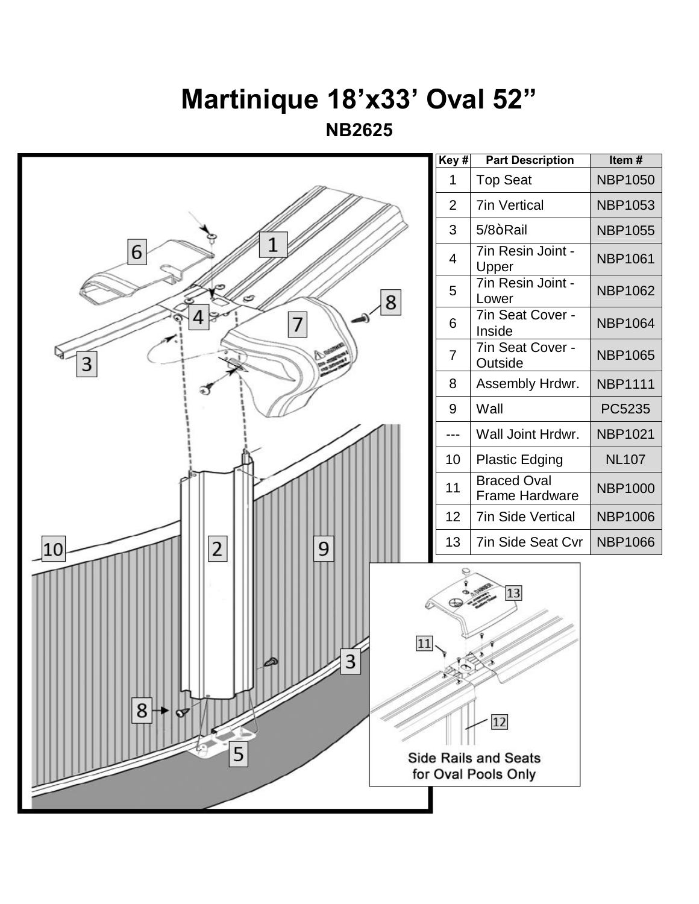# **Martinique 18'x33' Oval 52"**

**NB2625**